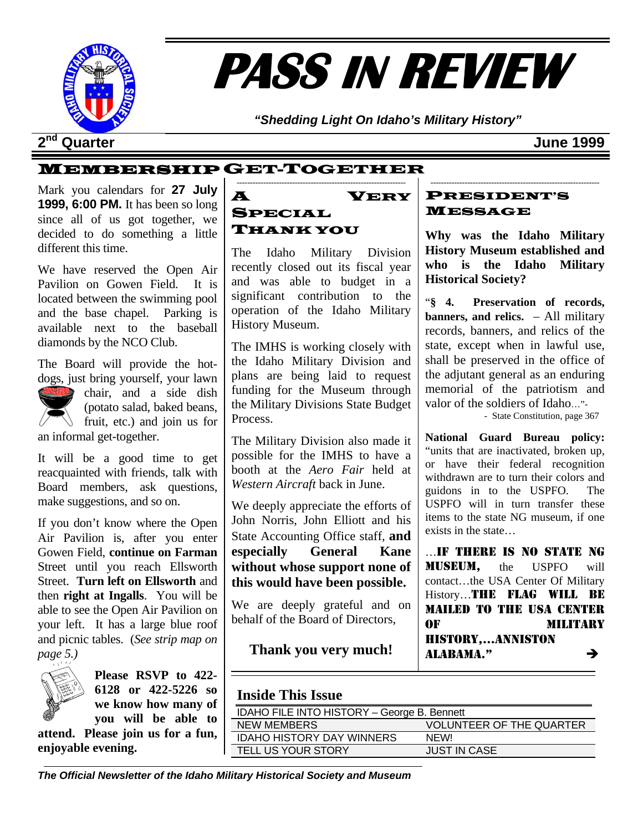

# **PASS IN REVIEW**

*"Shedding Light On Idaho's Military History"* 

### **2nd Quarter June 1999**

### MEMBERSHIP GET-TOGETHER

Mark you calendars for **27 July 1999, 6:00 PM.** It has been so long since all of us got together, we decided to do something a little different this time.

We have reserved the Open Air Pavilion on Gowen Field. It is located between the swimming pool and the base chapel. Parking is available next to the baseball diamonds by the NCO Club.

The Board will provide the hotdogs, just bring yourself, your lawn



chair, and a side dish (potato salad, baked beans, fruit, etc.) and join us for an informal get-together.

It will be a good time to get reacquainted with friends, talk with Board members, ask questions, make suggestions, and so on.

If you don't know where the Open Air Pavilion is, after you enter Gowen Field, **continue on Farman**  Street until you reach Ellsworth Street. **Turn left on Ellsworth** and then **right at Ingalls**. You will be able to see the Open Air Pavilion on your left. It has a large blue roof and picnic tables. (*See strip map on page 5.)* 



**Please RSVP to 422- 6128 or 422-5226 so we know how many of you will be able to** 

**attend. Please join us for a fun, enjoyable evening.** 

#### ---------------------------------------------------------------- A VERY SPECIAL THANK YOU

The Idaho Military Division recently closed out its fiscal year and was able to budget in a significant contribution to the operation of the Idaho Military History Museum.

The IMHS is working closely with the Idaho Military Division and plans are being laid to request funding for the Museum through the Military Divisions State Budget Process.

The Military Division also made it possible for the IMHS to have a booth at the *Aero Fair* held at *Western Aircraft* back in June.

We deeply appreciate the efforts of John Norris, John Elliott and his State Accounting Office staff, **and especially General Kane without whose support none of this would have been possible.**

We are deeply grateful and on behalf of the Board of Directors,

#### **Thank you very much!**

#### PRESIDENT'S MESSAGE

**Why was the Idaho Military History Museum established and who is the Idaho Military Historical Society?** 

----------------------------------------------------------------

"**§ 4. Preservation of records, banners, and relics.** – All military records, banners, and relics of the state, except when in lawful use, shall be preserved in the office of the adjutant general as an enduring memorial of the patriotism and valor of the soldiers of Idaho…"-

- State Constitution, page 367

**National Guard Bureau policy:**  "units that are inactivated, broken up, or have their federal recognition withdrawn are to turn their colors and guidons in to the USPFO. The USPFO will in turn transfer these items to the state NG museum, if one exists in the state…

…IF THERE IS NO STATE NG MUSEUM, the USPFO will contact…the USA Center Of Military History…THE FLAG WILL BE MAILED TO THE USA CENTER OF MILITARY HISTORY,…ANNISTON  $ALABAMA."$ 

#### **Inside This Issue**

| IDAHO FILE INTO HISTORY - George B. Bennett |                                 |  |  |  |
|---------------------------------------------|---------------------------------|--|--|--|
| NEW MEMBERS                                 | <b>VOLUNTEER OF THE QUARTER</b> |  |  |  |
| <b>IDAHO HISTORY DAY WINNERS</b>            | <b>NFWL</b>                     |  |  |  |
| TELL US YOUR STORY                          | <b>JUST IN CASE</b>             |  |  |  |
|                                             |                                 |  |  |  |

*The Official Newsletter of the Idaho Military Historical Society and Museum*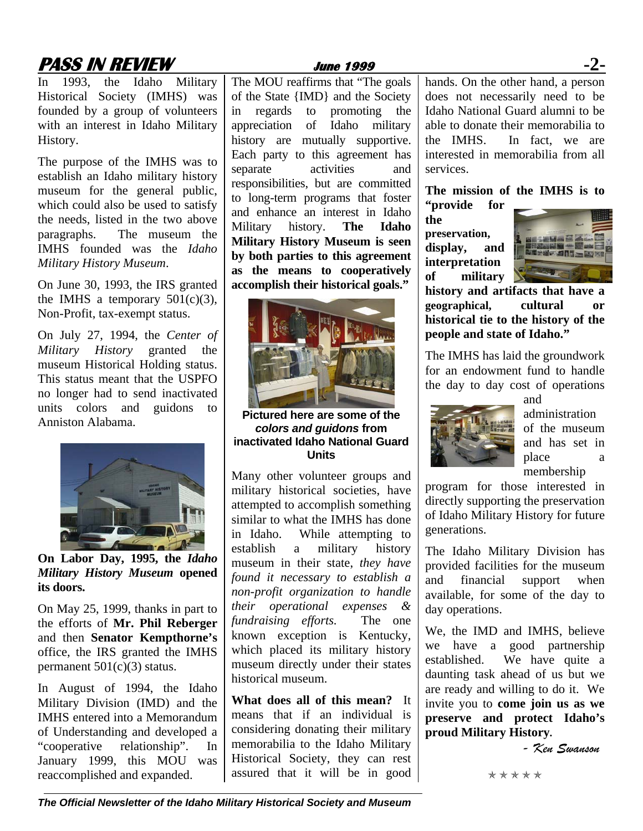## **PASS IN REVIEW June 1999 -2-**

In 1993, the Idaho Military Historical Society (IMHS) was founded by a group of volunteers with an interest in Idaho Military History.

The purpose of the IMHS was to establish an Idaho military history museum for the general public, which could also be used to satisfy the needs, listed in the two above paragraphs. The museum the IMHS founded was the *Idaho Military History Museum*.

On June 30, 1993, the IRS granted the IMHS a temporary  $501(c)(3)$ , Non-Profit, tax-exempt status.

On July 27, 1994, the *Center of Military History* granted the museum Historical Holding status. This status meant that the USPFO no longer had to send inactivated units colors and guidons to Anniston Alabama.



**On Labor Day, 1995, the** *Idaho Military History Museum* **opened its doors.** 

On May 25, 1999, thanks in part to the efforts of **Mr. Phil Reberger** and then **Senator Kempthorne's** office, the IRS granted the IMHS permanent 501(c)(3) status.

In August of 1994, the Idaho Military Division (IMD) and the IMHS entered into a Memorandum of Understanding and developed a "cooperative relationship". In January 1999, this MOU was reaccomplished and expanded.

The MOU reaffirms that "The goals of the State {IMD} and the Society in regards to promoting the appreciation of Idaho military history are mutually supportive. Each party to this agreement has separate activities and responsibilities, but are committed to long-term programs that foster and enhance an interest in Idaho Military history. **The Idaho Military History Museum is seen by both parties to this agreement as the means to cooperatively accomplish their historical goals."** 



**Pictured here are some of the**  *colors and guidons* **from inactivated Idaho National Guard Units** 

Many other volunteer groups and military historical societies, have attempted to accomplish something similar to what the IMHS has done in Idaho. While attempting to establish a military history museum in their state, *they have found it necessary to establish a non-profit organization to handle their operational expenses & fundraising efforts.* The one known exception is Kentucky, which placed its military history museum directly under their states historical museum.

**What does all of this mean?** It means that if an individual is considering donating their military memorabilia to the Idaho Military Historical Society, they can rest assured that it will be in good

hands. On the other hand, a person does not necessarily need to be Idaho National Guard alumni to be able to donate their memorabilia to the IMHS. In fact, we are interested in memorabilia from all services.

**The mission of the IMHS is to "provide for** 

**the preservation, display, and interpretation of military** 



**history and artifacts that have a geographical, cultural or historical tie to the history of the people and state of Idaho."** 

The IMHS has laid the groundwork for an endowment fund to handle the day to day cost of operations



and administration of the museum and has set in place a membership

program for those interested in directly supporting the preservation of Idaho Military History for future generations.

The Idaho Military Division has provided facilities for the museum and financial support when available, for some of the day to day operations.

We, the IMD and IMHS, believe we have a good partnership established. We have quite a daunting task ahead of us but we are ready and willing to do it. We invite you to **come join us as we preserve and protect Idaho's proud Military History.** 

*- Ken Swanson* 

```
*****
```
*The Official Newsletter of the Idaho Military Historical Society and Museum*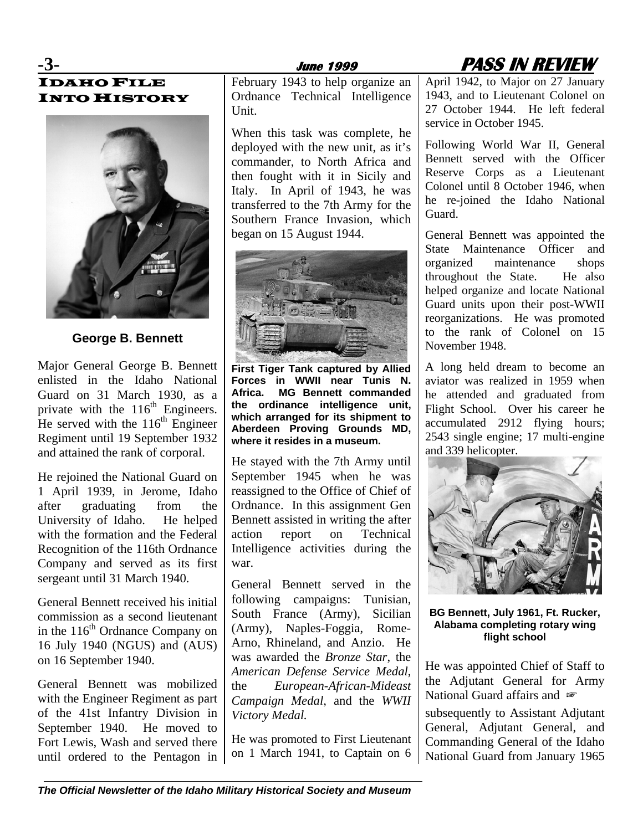

# IDAHO FILE INTO HISTORY



**George B. Bennett** 

Major General George B. Bennett enlisted in the Idaho National Guard on 31 March 1930, as a private with the  $116<sup>th</sup>$  Engineers. He served with the  $116<sup>th</sup>$  Engineer Regiment until 19 September 1932 and attained the rank of corporal.

He rejoined the National Guard on 1 April 1939, in Jerome, Idaho after graduating from the University of Idaho. He helped with the formation and the Federal Recognition of the 116th Ordnance Company and served as its first sergeant until 31 March 1940.

General Bennett received his initial commission as a second lieutenant in the  $116<sup>th</sup>$  Ordnance Company on 16 July 1940 (NGUS) and (AUS) on 16 September 1940.

General Bennett was mobilized with the Engineer Regiment as part of the 41st Infantry Division in September 1940. He moved to Fort Lewis, Wash and served there until ordered to the Pentagon in February 1943 to help organize an Ordnance Technical Intelligence Unit.

When this task was complete, he deployed with the new unit, as it's commander, to North Africa and then fought with it in Sicily and Italy. In April of 1943, he was transferred to the 7th Army for the Southern France Invasion, which began on 15 August 1944.



**First Tiger Tank captured by Allied Forces in WWII near Tunis N. Africa. MG Bennett commanded the ordinance intelligence unit, which arranged for its shipment to Aberdeen Proving Grounds MD, where it resides in a museum.** 

He stayed with the 7th Army until September 1945 when he was reassigned to the Office of Chief of Ordnance. In this assignment Gen Bennett assisted in writing the after action report on Technical Intelligence activities during the war.

General Bennett served in the following campaigns: Tunisian, South France (Army), Sicilian (Army), Naples-Foggia, Rome-Arno, Rhineland, and Anzio. He was awarded the *Bronze Star*, the *American Defense Service Medal*, the *European-African-Mideast Campaign Medal*, and the *WWII Victory Medal.*

He was promoted to First Lieutenant on 1 March 1941, to Captain on 6 April 1942, to Major on 27 January 1943, and to Lieutenant Colonel on 27 October 1944. He left federal service in October 1945.

Following World War II, General Bennett served with the Officer Reserve Corps as a Lieutenant Colonel until 8 October 1946, when he re-joined the Idaho National Guard.

General Bennett was appointed the State Maintenance Officer and organized maintenance shops throughout the State. He also helped organize and locate National Guard units upon their post-WWII reorganizations. He was promoted to the rank of Colonel on 15 November 1948.

A long held dream to become an aviator was realized in 1959 when he attended and graduated from Flight School. Over his career he accumulated 2912 flying hours; 2543 single engine; 17 multi-engine and 339 helicopter.



**BG Bennett, July 1961, Ft. Rucker, Alabama completing rotary wing flight school** 

He was appointed Chief of Staff to the Adjutant General for Army National Guard affairs and  $\infty$ subsequently to Assistant Adjutant General, Adjutant General, and

Commanding General of the Idaho National Guard from January 1965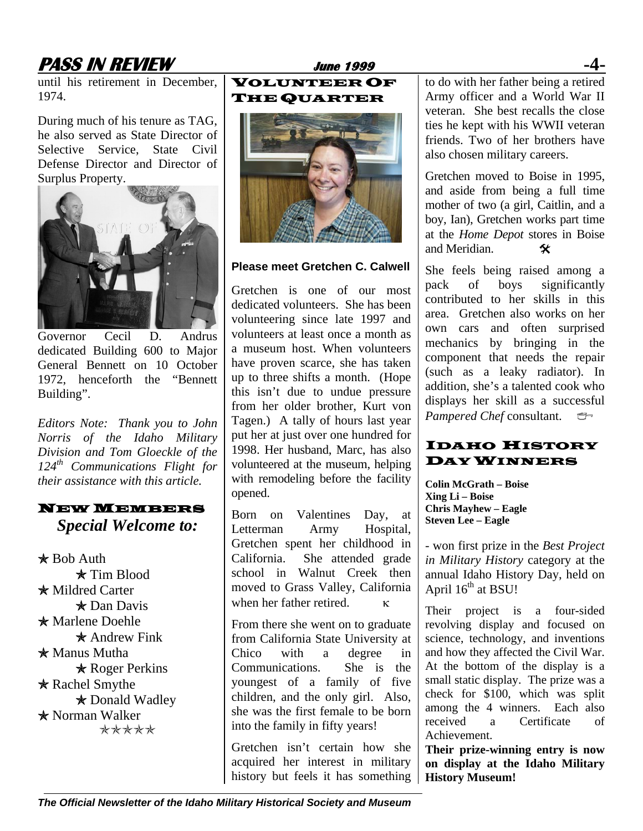# **PASS IN REVIEW June 1999 -4-**

until his retirement in December, 1974.

During much of his tenure as TAG, he also served as State Director of Selective Service, State Civil Defense Director and Director of Surplus Property.



Governor Cecil D. Andrus dedicated Building 600 to Major General Bennett on 10 October 1972, henceforth the "Bennett Building".

*Editors Note: Thank you to John Norris of the Idaho Military Division and Tom Gloeckle of the 124th Communications Flight for their assistance with this article.* 

#### NEW MEMBERS *Special Welcome to:*

 $*$  Bob Auth  $\star$  Tim Blood  $*$  Mildred Carter  $\star$  Dan Davis \* Marlene Doehle  $*$  Andrew Fink  $*$  Manus Mutha  $*$  Roger Perkins  $*$  Rachel Smythe \* Donald Wadley \* Norman Walker \*\*\*\*\*

#### VOLUNTEER OF THE QUARTER



#### **Please meet Gretchen C. Calwell**

Gretchen is one of our most dedicated volunteers. She has been volunteering since late 1997 and volunteers at least once a month as a museum host. When volunteers have proven scarce, she has taken up to three shifts a month. (Hope this isn't due to undue pressure from her older brother, Kurt von Tagen.) A tally of hours last year put her at just over one hundred for 1998. Her husband, Marc, has also volunteered at the museum, helping with remodeling before the facility opened.

Born on Valentines Day, at Letterman Army Hospital, Gretchen spent her childhood in California. She attended grade school in Walnut Creek then moved to Grass Valley, California when her father retired.  $\kappa$ 

From there she went on to graduate from California State University at Chico with a degree in Communications. She is the youngest of a family of five children, and the only girl. Also, she was the first female to be born into the family in fifty years!

Gretchen isn't certain how she acquired her interest in military history but feels it has something

to do with her father being a retired Army officer and a World War II veteran. She best recalls the close ties he kept with his WWII veteran friends. Two of her brothers have also chosen military careers.

Gretchen moved to Boise in 1995, and aside from being a full time mother of two (a girl, Caitlin, and a boy, Ian), Gretchen works part time at the *Home Depot* stores in Boise and Meridian.  $\mathbf{\hat{x}}$ 

She feels being raised among a pack of boys significantly contributed to her skills in this area. Gretchen also works on her own cars and often surprised mechanics by bringing in the component that needs the repair (such as a leaky radiator). In addition, she's a talented cook who displays her skill as a successful *Pampered Chef* consultant.

### IDAHO HISTORY DAY WINNERS

**Colin McGrath – Boise Xing Li – Boise Chris Mayhew – Eagle Steven Lee – Eagle** 

- won first prize in the *Best Project in Military History* category at the annual Idaho History Day, held on April  $16^{th}$  at BSU!

Their project is a four-sided revolving display and focused on science, technology, and inventions and how they affected the Civil War. At the bottom of the display is a small static display. The prize was a check for \$100, which was split among the 4 winners. Each also received a Certificate of Achievement.

**Their prize-winning entry is now on display at the Idaho Military History Museum!**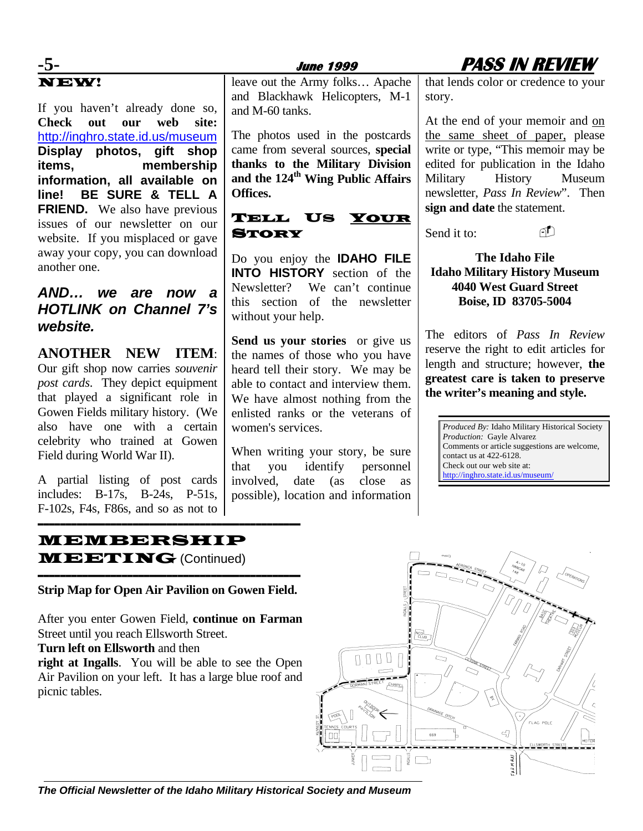# NEW!

If you haven't already done so, **Check out our web site:** <http://inghro.state.id.us/museum> **Display photos, gift shop items, membership information, all available on line! BE SURE & TELL A FRIEND.** We also have previous issues of our newsletter on our website. If you misplaced or gave away your copy, you can download another one.

### *AND… we are now a HOTLINK on Channel 7's website.*

**ANOTHER NEW ITEM**: Our gift shop now carries *souvenir post cards*. They depict equipment that played a significant role in Gowen Fields military history. (We also have one with a certain celebrity who trained at Gowen Field during World War II).

A partial listing of post cards includes: B-17s, B-24s, P-51s, F-102s, F4s, F86s, and so as not to

# leave out the Army folks… Apache

and Blackhawk Helicopters, M-1

The photos used in the postcards came from several sources, **special thanks to the Military Division**  and the 124<sup>th</sup> Wing Public Affairs

TELL US YOUR

Do you enjoy the **IDAHO FILE INTO HISTORY** section of the Newsletter? We can't continue this section of the newsletter

**Send us your stories** or give us the names of those who you have heard tell their story. We may be able to contact and interview them. We have almost nothing from the enlisted ranks or the veterans of

possible), location and information

When writing your story, be sure that you identify personnel involved, date (as close as

and M-60 tanks.

**Offices.**

**STORY** 

without your help.

women's services.



that lends color or credence to your story.

At the end of your memoir and on the same sheet of paper, please write or type, "This memoir may be edited for publication in the Idaho Military History Museum newsletter, *Pass In Review*". Then **sign and date** the statement.

Send it to:

#### **The Idaho File Idaho Military History Museum 4040 West Guard Street Boise, ID 83705-5004**

The editors of *Pass In Review*  reserve the right to edit articles for length and structure; however, **the greatest care is taken to preserve the writer's meaning and style.**

*Produced By:* Idaho Military Historical Society *Production:* Gayle Alvarez Comments or article suggestions are welcome, contact us at 422-6128. Check out our web site at: <http://inghro.state.id.us/museum/>

#### MEMBERSHIP **MEETING** (Continued)

----------------------------------------------- **Strip Map for Open Air Pavilion on Gowen Field.** 

-----------------------------------------------

After you enter Gowen Field, **continue on Farman**  Street until you reach Ellsworth Street.

#### **Turn left on Ellsworth** and then

**right at Ingalls**. You will be able to see the Open Air Pavilion on your left. It has a large blue roof and picnic tables.



*The Official Newsletter of the Idaho Military Historical Society and Museum*